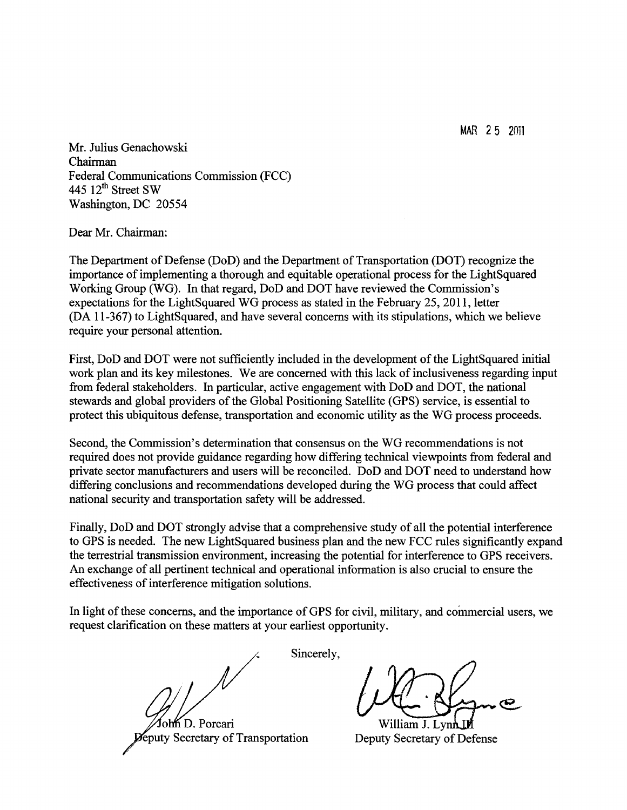MAR 25 2011

Mr. Julius Genachowski Chairman Federal Communications Commission (FCC) 445  $12^{\text{th}}$  Street SW Washington, DC 20554

Dear Mr. Chairman:

The Department of Defense (DoD) and the Department of Transportation (DOT) recognize the importance of implementing a thorough and equitable operational process for the LightSquared Working Group (WG). In that regard, DoD and DOT have reviewed the Commission's expectations for the LightSquared WG process as stated in the February 25, 2011, letter (DA 11-367) to LightSquared, and have several concerns with its stipulations, which we believe require your personal attention.

First, DoD and DOT were not sufficiently included in the development of the LightSquared initial work plan and its key milestones. We are concerned with this lack of inclusiveness regarding input from federal stakeholders. In particular, active engagement with DoD and DOT, the national stewards and global providers of the Global Positioning Satellite (GPS) service, is essential to protect this ubiquitous defense, transportation and economic utility as the WG process proceeds.

Second, the Commission's detennination that consensus on the WG recommendations is not required does not provide guidance regarding how differing technical viewpoints from federal and private sector manufacturers and users will be reconciled. DoD and DOT need to understand how differing conclusions and recommendations developed during the WG process that could affect national security and transportation safety will be addressed.

Finally, DoD and DOT strongly advise that a comprehensive study of all the potential interference to GPS is needed. The new LightSquared business plan and the new FCC rules significantly expand the terrestrial transmission environment, increasing the potential for interference to GPS receivers. An exchange of all pertinent technical and operational infonnation is also crucial to ensure the effectiveness of interference mitigation solutions.

In light of these concerns, and the importance of GPS for civil, military, and commercial users, we request clarification on these matters at your earliest opportunity.

form D. Porcari William J. Lynn eputy Secretary of Transportation Deputy Secretary of Defense

Sincerely,